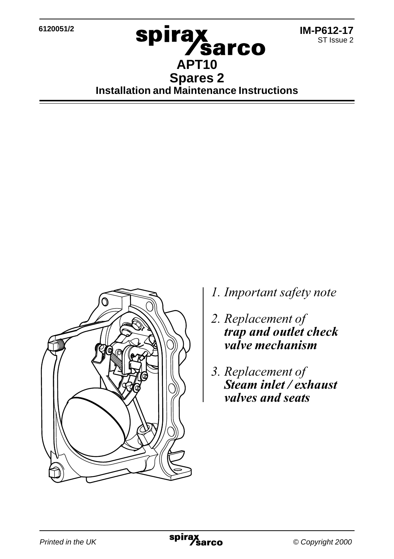**6120051/2**



**Spirax<br>APT10 Spares 2 Installation and Maintenance Instructions**



- *l*. Important safety note
- 2. Replacement of *trap and outlet check* valve mechanism
- 3. Replacement of *Steam inlet / exhaust valves and seats*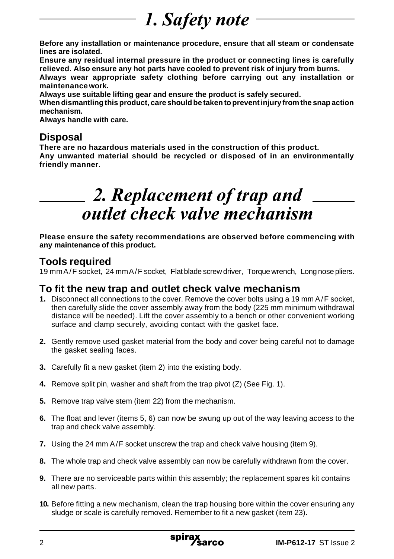# *1. Safety note*

**Before any installation or maintenance procedure, ensure that all steam or condensate lines are isolated.**

**Ensure any residual internal pressure in the product or connecting lines is carefully relieved. Also ensure any hot parts have cooled to prevent risk of injury from burns.**

**Always wear appropriate safety clothing before carrying out any installation or maintenance work.**

**Always use suitable lifting gear and ensure the product is safely secured.**

**When dismantling this product, care should be taken to prevent injury from the snap action mechanism.**

**Always handle with care.**

### **Disposal**

**There are no hazardous materials used in the construction of this product. Any unwanted material should be recycled or disposed of in an environmentally friendly manner.**

## 2. Replacement of trap and outlet check valve mechanism

**Please ensure the safety recommendations are observed before commencing with any maintenance of this product.**

### **Tools required**

19 mm A/F socket, 24 mm A/F socket, Flat blade screw driver, Torque wrench, Long nose pliers.

#### **To fit the new trap and outlet check valve mechanism**

- **1.** Disconnect all connections to the cover. Remove the cover bolts using a 19 mm A/F socket, then carefully slide the cover assembly away from the body (225 mm minimum withdrawal distance will be needed). Lift the cover assembly to a bench or other convenient working surface and clamp securely, avoiding contact with the gasket face.
- **2.** Gently remove used gasket material from the body and cover being careful not to damage the gasket sealing faces.
- **3.** Carefully fit a new gasket (item 2) into the existing body.
- **4.** Remove split pin, washer and shaft from the trap pivot (Z) (See Fig. 1).
- **5.** Remove trap valve stem (item 22) from the mechanism.
- **6.** The float and lever (items 5, 6) can now be swung up out of the way leaving access to the trap and check valve assembly.
- **7.** Using the 24 mm A/F socket unscrew the trap and check valve housing (item 9).
- **8.** The whole trap and check valve assembly can now be carefully withdrawn from the cover.
- **9.** There are no serviceable parts within this assembly; the replacement spares kit contains all new parts.
- **10.** Before fitting a new mechanism, clean the trap housing bore within the cover ensuring any sludge or scale is carefully removed. Remember to fit a new gasket (item 23).

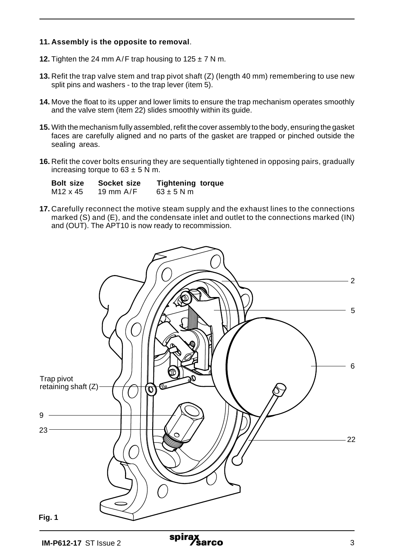#### **11. Assembly is the opposite to removal**.

- **12.** Tighten the 24 mm  $A/F$  trap housing to  $125 \pm 7$  N m.
- **13.** Refit the trap valve stem and trap pivot shaft (Z) (length 40 mm) remembering to use new split pins and washers - to the trap lever (item 5).
- **14.** Move the float to its upper and lower limits to ensure the trap mechanism operates smoothly and the valve stem (item 22) slides smoothly within its guide.
- **15.** With the mechanism fully assembled, refit the cover assembly to the body, ensuring the gasket faces are carefully aligned and no parts of the gasket are trapped or pinched outside the sealing areas.
- **16.** Refit the cover bolts ensuring they are sequentially tightened in opposing pairs, gradually increasing torque to  $63 \pm 5$  N m.

| <b>Bolt size</b>     | Socket size | <b>Tightening torque</b> |  |
|----------------------|-------------|--------------------------|--|
| M <sub>12</sub> x 45 | 19 mm $A/F$ | $63 \pm 5$ N m           |  |

**17.** Carefully reconnect the motive steam supply and the exhaust lines to the connections marked (S) and (E), and the condensate inlet and outlet to the connections marked (IN) and (OUT). The APT10 is now ready to recommission.

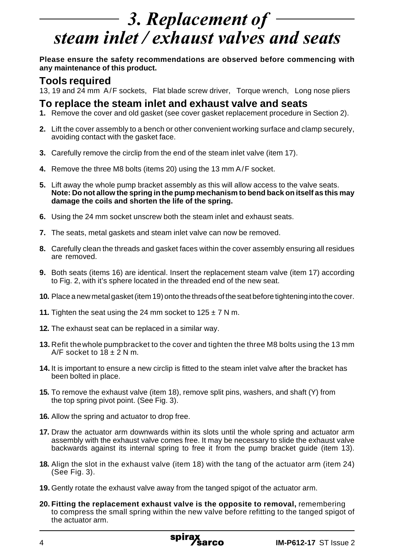# 3. Replacement of steam inlet / exhaust valves and seats

**Please ensure the safety recommendations are observed before commencing with any maintenance of this product.**

#### **Tools required**

13, 19 and 24 mm A/F sockets, Flat blade screw driver, Torque wrench, Long nose pliers

#### **To replace the steam inlet and exhaust valve and seats**

- **1.** Remove the cover and old gasket (see cover gasket replacement procedure in Section 2).
- **2.** Lift the cover assembly to a bench or other convenient working surface and clamp securely, avoiding contact with the gasket face.
- **3.** Carefully remove the circlip from the end of the steam inlet valve (item 17).
- **4.** Remove the three M8 bolts (items 20) using the 13 mm A/F socket.
- **5.** Lift away the whole pump bracket assembly as this will allow access to the valve seats. **Note: Do not allow the spring in the pump mechanism to bend back on itself as this may damage the coils and shorten the life of the spring.**
- **6.** Using the 24 mm socket unscrew both the steam inlet and exhaust seats.
- **7.** The seats, metal gaskets and steam inlet valve can now be removed.
- **8.** Carefully clean the threads and gasket faces within the cover assembly ensuring all residues are removed.
- **9.** Both seats (items 16) are identical. Insert the replacement steam valve (item 17) according to Fig. 2, with it's sphere located in the threaded end of the new seat.
- **10.** Place a new metal gasket (item 19) onto the threads of the seat before tightening into the cover.
- **11.** Tighten the seat using the 24 mm socket to  $125 \pm 7$  N m.
- **12.** The exhaust seat can be replaced in a similar way.
- **13.** Refit the whole pumpbracket to the cover and tighten the three M8 bolts using the 13 mm A/F socket to  $18 \pm 2$  N m.
- **14.** It is important to ensure a new circlip is fitted to the steam inlet valve after the bracket has been bolted in place.
- **15.** To remove the exhaust valve (item 18), remove split pins, washers, and shaft (Y) from the top spring pivot point. (See Fig. 3).
- **16.** Allow the spring and actuator to drop free.
- **17.** Draw the actuator arm downwards within its slots until the whole spring and actuator arm assembly with the exhaust valve comes free. It may be necessary to slide the exhaust valve backwards against its internal spring to free it from the pump bracket guide (item 13).
- **18.** Align the slot in the exhaust valve (item 18) with the tang of the actuator arm (item 24) (See Fig. 3).
- **19.** Gently rotate the exhaust valve away from the tanged spigot of the actuator arm.
- **20. Fitting the replacement exhaust valve is the opposite to removal,** remembering to compress the small spring within the new valve before refitting to the tanged spigot of the actuator arm.

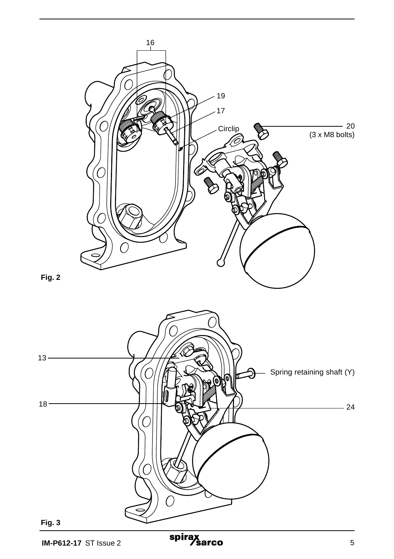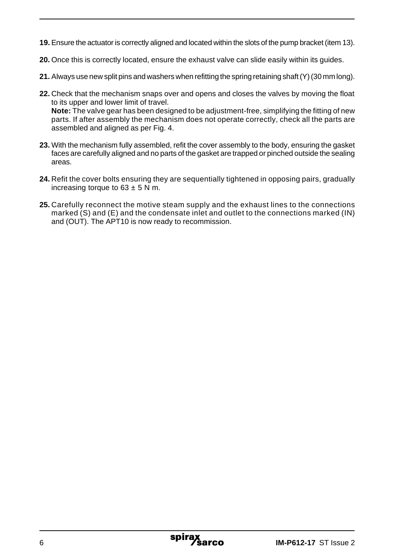- **19.** Ensure the actuator is correctly aligned and located within the slots of the pump bracket (item 13).
- **20.** Once this is correctly located, ensure the exhaust valve can slide easily within its guides.
- **21.** Always use new split pins and washers when refitting the spring retaining shaft (Y) (30 mm long).
- **22.** Check that the mechanism snaps over and opens and closes the valves by moving the float to its upper and lower limit of travel. **Note:** The valve gear has been designed to be adjustment-free, simplifying the fitting of new parts. If after assembly the mechanism does not operate correctly, check all the parts are assembled and aligned as per Fig. 4.
- **23.** With the mechanism fully assembled, refit the cover assembly to the body, ensuring the gasket faces are carefully aligned and no parts of the gasket are trapped or pinched outside the sealing areas.
- **24.** Refit the cover bolts ensuring they are sequentially tightened in opposing pairs, gradually increasing torque to  $63 \pm 5$  N m.
- **25.** Carefully reconnect the motive steam supply and the exhaust lines to the connections marked (S) and (E) and the condensate inlet and outlet to the connections marked (IN) and (OUT). The APT10 is now ready to recommission.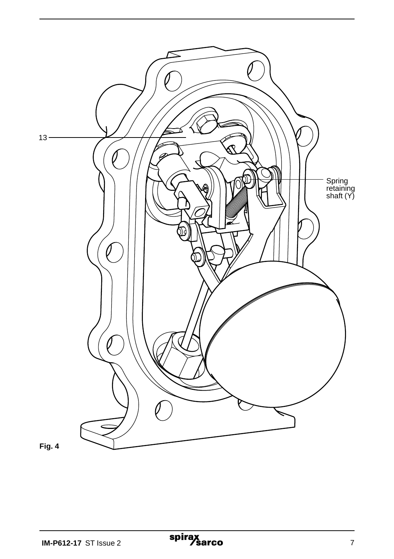